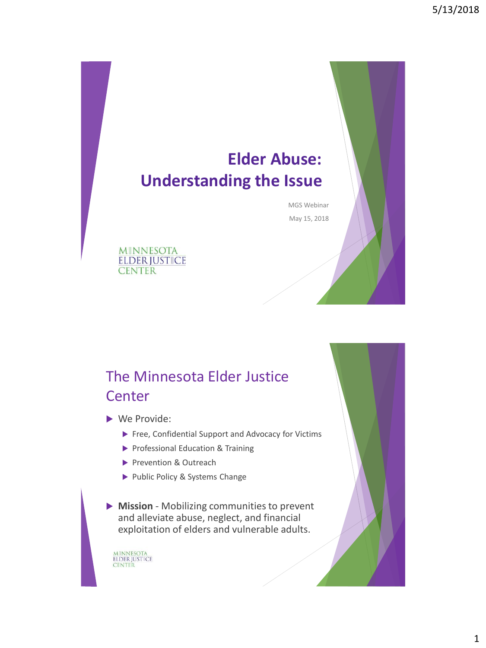# **Elder Abuse: Understanding the Issue**

MGS Webinar May 15, 2018

**MINNESOTA ELDER JUSTICE CENTER** 

## The Minnesota Elder Justice **Center**

▶ We Provide:

- Free, Confidential Support and Advocacy for Victims
- Professional Education & Training
- Prevention & Outreach
- Public Policy & Systems Change

 **Mission** - Mobilizing communities to prevent and alleviate abuse, neglect, and financial exploitation of elders and vulnerable adults.

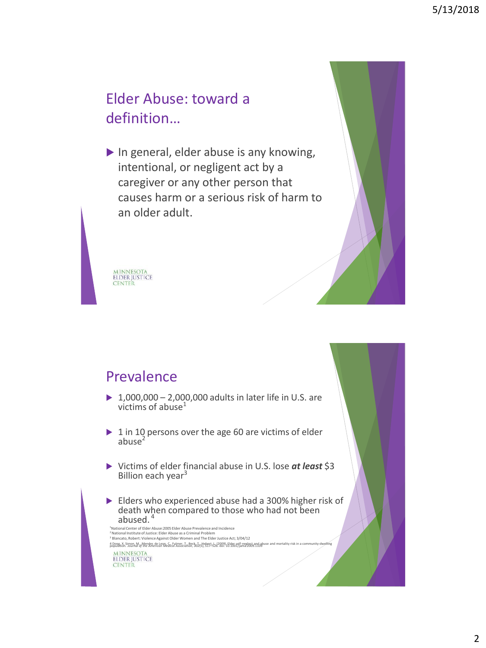## Elder Abuse: toward a definition…

In general, elder abuse is any knowing, intentional, or negligent act by a caregiver or any other person that causes harm or a serious risk of harm to an older adult.



## Prevalence

- ▶ 1,000,000 2,000,000 adults in later life in U.S. are victims of abuse $<sup>1</sup>$ </sup>
- $\triangleright$  1 in 10 persons over the age 60 are victims of elder abuse $^2$
- Victims of elder financial abuse in U.S. lose *at least* \$3 Billion each year<sup>3</sup>
- Elders who experienced abuse had a 300% higher risk of death when compared to those who had not been abused. 4

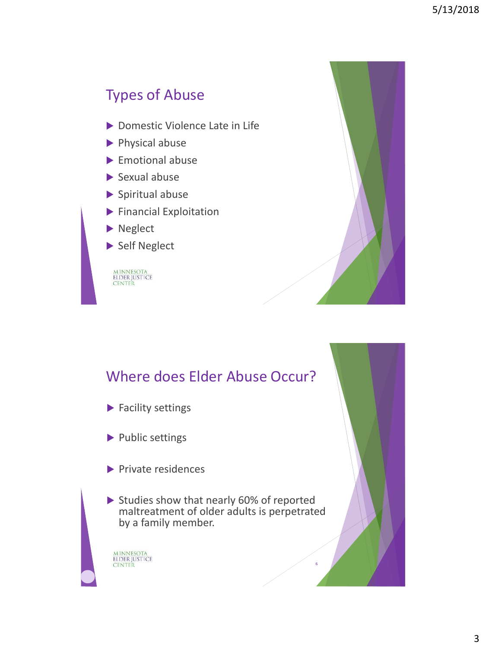## Types of Abuse

- ▶ Domestic Violence Late in Life
- Physical abuse
- ▶ Emotional abuse
- $\blacktriangleright$  Sexual abuse
- $\blacktriangleright$  Spiritual abuse
- **Financial Exploitation**
- Neglect
- Self Neglect

MINNESOTA<br>ELDER JUSTICE<br>CENTER



6

## Where does Elder Abuse Occur?

- ▶ Facility settings
- Public settings
- $\blacktriangleright$  Private residences
- Studies show that nearly 60% of reported maltreatment of older adults is perpetrated by a family member.

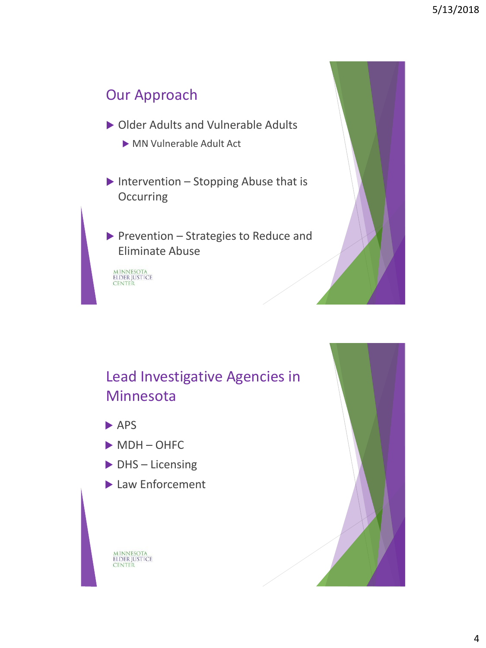## Our Approach

- ▶ Older Adults and Vulnerable Adults
	- MN Vulnerable Adult Act
- Intervention Stopping Abuse that is **Occurring**
- Prevention Strategies to Reduce and Eliminate Abuse

MINNESOTA<br>ELDER JUSTICE<br>CENTER



## Lead Investigative Agencies in Minnesota

- $\rightharpoonup$  APS
- MDH-OHFC
- ▶ DHS Licensing
- ▶ Law Enforcement

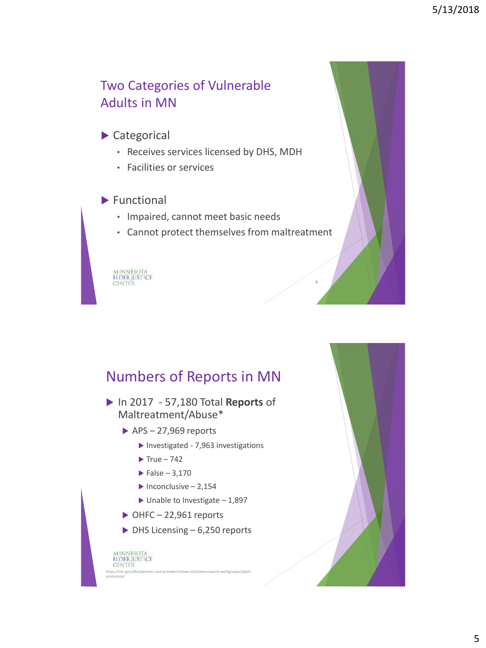## Two Categories of Vulnerable Adults in MN

### Categorical

- Receives services licensed by DHS, MDH
- Facilities or services

#### $\blacktriangleright$  Functional

- Impaired, cannot meet basic needs
- Cannot protect themselves from maltreatment

MINNESOTA<br>ELDER JUSTICE<br>CENTER

## Numbers of Reports in MN

- In 2017 57,180 Total **Reports** of Maltreatment/Abuse\*
	- $\blacktriangleright$  APS 27,969 reports
		- Investigated 7,963 investigations
		- $\blacktriangleright$  True 742
		- $\blacktriangleright$  False 3,170
		- $\blacktriangleright$  Inconclusive 2,154
		- $\blacktriangleright$  Unable to Investigate 1,897
	- $\triangleright$  OHFC 22,961 reports
	- $\triangleright$  DHS Licensing 6,250 reports

#### MINNESOTA<br>ELDER JUSTICE **CENTER** https://mn.gov/dhs/partners-a protection/

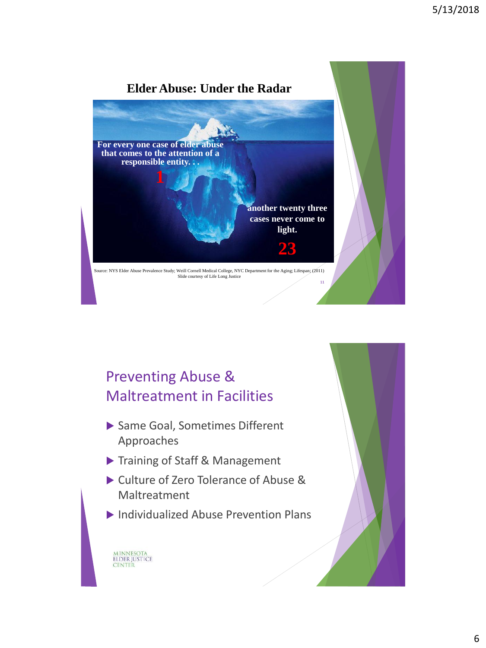

## Preventing Abuse & Maltreatment in Facilities

- ▶ Same Goal, Sometimes Different Approaches
- Training of Staff & Management

- ▶ Culture of Zero Tolerance of Abuse & Maltreatment
- Individualized Abuse Prevention Plans

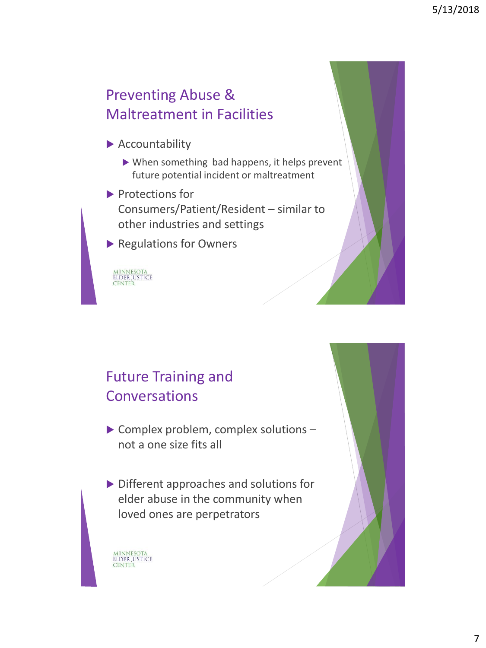## Preventing Abuse & Maltreatment in Facilities

- Accountability
	- When something bad happens, it helps prevent future potential incident or maltreatment
- Protections for Consumers/Patient/Resident – similar to other industries and settings
- **Regulations for Owners**

MINNESOTA<br>ELDER JUSTICE<br>CENTER

## Future Training and **Conversations**

- Complex problem, complex solutions not a one size fits all
- Different approaches and solutions for elder abuse in the community when loved ones are perpetrators

MINNESOTA<br>ELDER JUSTICE

CENTER